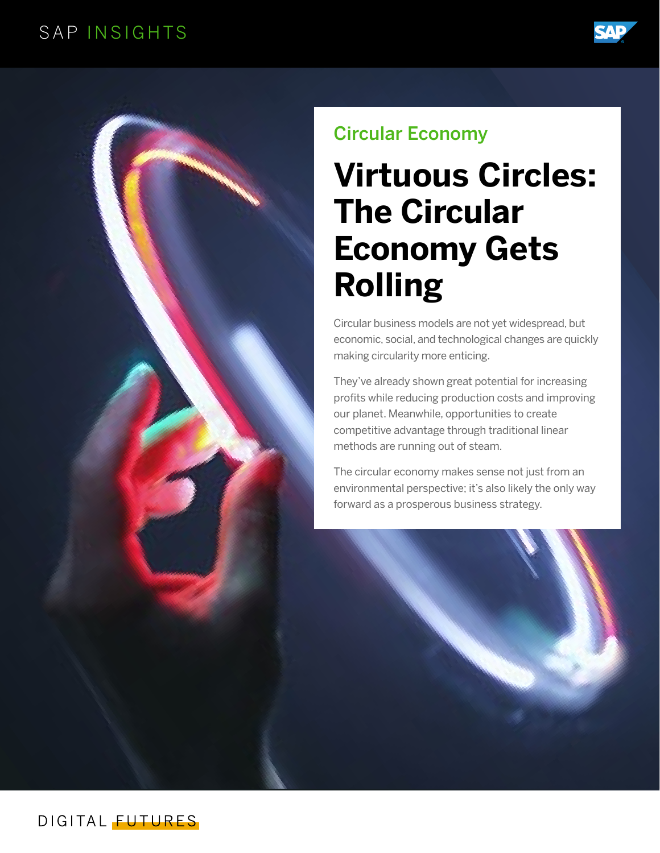## SAP INSIGHTS





# Circular Economy

# **Virtuous Circles: The Circular Economy Gets Rolling**

Circular business models are not yet widespread, but economic, social, and technological changes are quickly making circularity more enticing.

They've already shown great potential for increasing profits while reducing production costs and improving our planet. Meanwhile, opportunities to create competitive advantage through traditional linear methods are running out of steam.

The circular economy makes sense not just from an environmental perspective; it's also likely the only way forward as a prosperous business strategy.